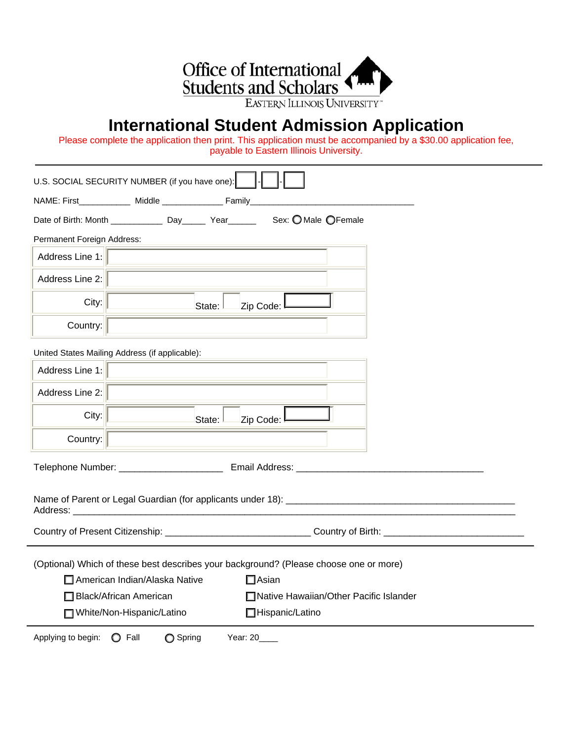

## **International Student Admission Application**

Please complete the application then print. This application must be accompanied by a \$30.00 application fee, payable to Eastern Illinois University.

|                                    | U.S. SOCIAL SECURITY NUMBER (if you have one):         |                                                                                                                |  |
|------------------------------------|--------------------------------------------------------|----------------------------------------------------------------------------------------------------------------|--|
|                                    | NAME: First_____________ Middle ______________ Family_ |                                                                                                                |  |
|                                    |                                                        |                                                                                                                |  |
| Permanent Foreign Address:         |                                                        |                                                                                                                |  |
| Address Line 1:                    |                                                        |                                                                                                                |  |
| Address Line 2:                    |                                                        |                                                                                                                |  |
| City:                              | State:                                                 | Zip Code:                                                                                                      |  |
| Country:                           |                                                        |                                                                                                                |  |
|                                    | United States Mailing Address (if applicable):         |                                                                                                                |  |
| Address Line 1:                    |                                                        |                                                                                                                |  |
| Address Line 2:                    |                                                        |                                                                                                                |  |
| City:                              | State:                                                 | Zip Code:                                                                                                      |  |
| Country:                           |                                                        |                                                                                                                |  |
|                                    |                                                        |                                                                                                                |  |
|                                    |                                                        |                                                                                                                |  |
|                                    |                                                        | Country of Present Citizenship: ________________________________Country of Birth: ____________________________ |  |
|                                    |                                                        | (Optional) Which of these best describes your background? (Please choose one or more)                          |  |
|                                    | American Indian/Alaska Native                          | $\Box$ Asian                                                                                                   |  |
|                                    | Black/African American                                 | Native Hawaiian/Other Pacific Islander                                                                         |  |
|                                    | □ White/Non-Hispanic/Latino                            | Hispanic/Latino                                                                                                |  |
| Applying to begin: $\bigcirc$ Fall | ◯ Spring                                               | Year: 20____                                                                                                   |  |